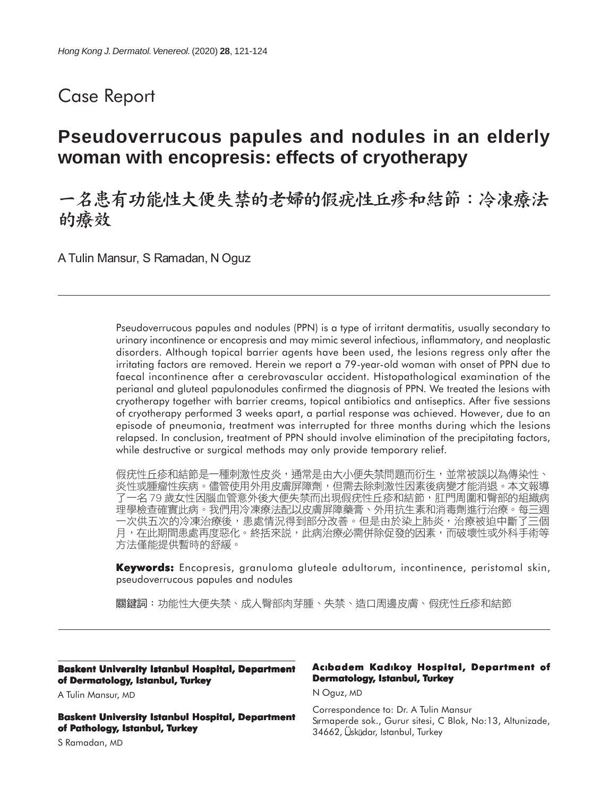# Case Report

# **Pseudoverrucous papules and nodules in an elderly woman with encopresis: effects of cryotherapy**

## 一名患有功能性大便失禁的老婦的假疣性丘疹和結節:冷凍療法 的癢效

A Tulin Mansur, S Ramadan, N Oguz

Pseudoverrucous papules and nodules (PPN) is a type of irritant dermatitis, usually secondary to urinary incontinence or encopresis and may mimic several infectious, inflammatory, and neoplastic disorders. Although topical barrier agents have been used, the lesions regress only after the irritating factors are removed. Herein we report a 79-year-old woman with onset of PPN due to faecal incontinence after a cerebrovascular accident. Histopathological examination of the perianal and gluteal papulonodules confirmed the diagnosis of PPN. We treated the lesions with cryotherapy together with barrier creams, topical antibiotics and antiseptics. After five sessions of cryotherapy performed 3 weeks apart, a partial response was achieved. However, due to an episode of pneumonia, treatment was interrupted for three months during which the lesions relapsed. In conclusion, treatment of PPN should involve elimination of the precipitating factors, while destructive or surgical methods may only provide temporary relief.

假疣性丘疹和結節是一種刺激性皮炎,通常是由大小便失禁問題而衍生,並常被誤以為傳染性、 炎性或腫瘤性疾病。儘管使用外用皮膚屏障劑,但需去除刺激性因素後病變才能消退。本文報導 了一名 79 歲女性因腦血管意外後大便失禁而出現假疣性丘疹和結節,肛門周圍和臀部的組織病 理學檢查確實此病。我們用冷凍療法配以皮膚屏障藥膏、外用抗生素和消毒劑進行治療。每三週 一次供五次的冷凍治療後,患處情況得到部分改善。但是由於染上肺炎,治療被迫中斷了三個 月,在此期間患處再度惡化。終括來説,此病治療必需併除促發的因素,而破壞性或外科手術等 方法僅能提供暫時的舒緩。

**Keywords:** Encopresis, granuloma gluteale adultorum, incontinence, peristomal skin, pseudoverrucous papules and nodules

關鍵詞:功能性大便失禁、成人臀部肉芽腫、失禁、造口周邊皮膚、假疣性丘疹和結節

#### **Baskent University Istanbul Hospital, Department of Dermatology, Istanbul, Turkey**

A Tulin Mansur, MD

**Baskent University Istanbul Hospital, Department of Pathology, Istanbul, Turkey**

S Ramadan, MD

### **AcIbadem KadIkoy Hospital, Department of Dermatology, Istanbul, Turkey**

N Oguz, MD

Correspondence to: Dr. A Tulin Mansur Srmaperde sok., Gurur sitesi, C Blok, No:13, Altunizade, 34662, Üsküdar, Istanbul, Turkey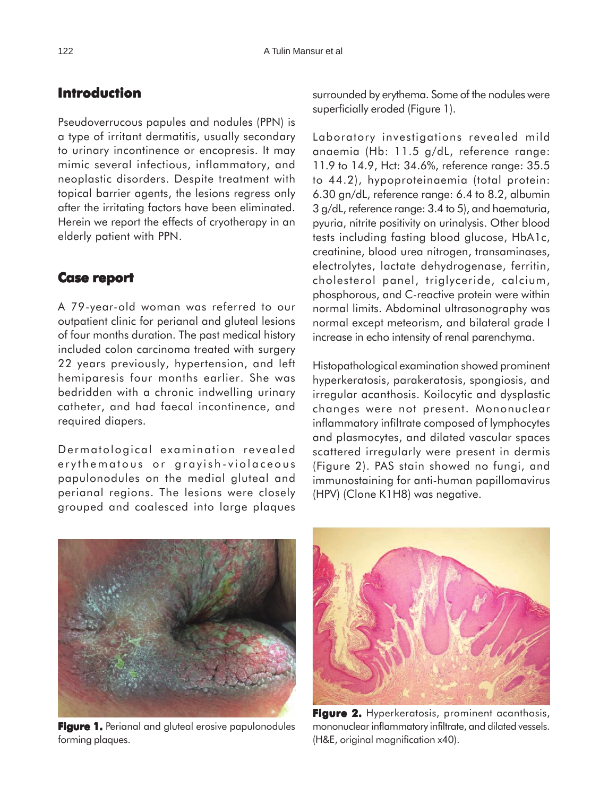## **Introduction**

Pseudoverrucous papules and nodules (PPN) is a type of irritant dermatitis, usually secondary to urinary incontinence or encopresis. It may mimic several infectious, inflammatory, and neoplastic disorders. Despite treatment with topical barrier agents, the lesions regress only after the irritating factors have been eliminated. Herein we report the effects of cryotherapy in an elderly patient with PPN.

### **Case report**

A 79-year-old woman was referred to our outpatient clinic for perianal and gluteal lesions of four months duration. The past medical history included colon carcinoma treated with surgery 22 years previously, hypertension, and left hemiparesis four months earlier. She was bedridden with a chronic indwelling urinary catheter, and had faecal incontinence, and required diapers.

Dermatological examination revealed erythematous or grayish-violaceous papulonodules on the medial gluteal and perianal regions. The lesions were closely grouped and coalesced into large plaques

surrounded by erythema. Some of the nodules were superficially eroded (Figure 1).

Laboratory investigations revealed mild anaemia (Hb: 11.5 g/dL, reference range: 11.9 to 14.9, Hct: 34.6%, reference range: 35.5 to 44.2), hypoproteinaemia (total protein: 6.30 gn/dL, reference range: 6.4 to 8.2, albumin 3 g/dL, reference range: 3.4 to 5), and haematuria, pyuria, nitrite positivity on urinalysis. Other blood tests including fasting blood glucose, HbA1c, creatinine, blood urea nitrogen, transaminases, electrolytes, lactate dehydrogenase, ferritin, cholesterol panel, triglyceride, calcium, phosphorous, and C-reactive protein were within normal limits. Abdominal ultrasonography was normal except meteorism, and bilateral grade I increase in echo intensity of renal parenchyma.

Histopathological examination showed prominent hyperkeratosis, parakeratosis, spongiosis, and irregular acanthosis. Koilocytic and dysplastic changes were not present. Mononuclear inflammatory infiltrate composed of lymphocytes and plasmocytes, and dilated vascular spaces scattered irregularly were present in dermis (Figure 2). PAS stain showed no fungi, and immunostaining for anti-human papillomavirus (HPV) (Clone K1H8) was negative.



**Figure 1. Figure 1.** Perianal and gluteal erosive papulonodules forming plaques.



**Figure 2. Figure 2.** Hyperkeratosis, prominent acanthosis, mononuclear inflammatory infiltrate, and dilated vessels. (H&E, original magnification x40).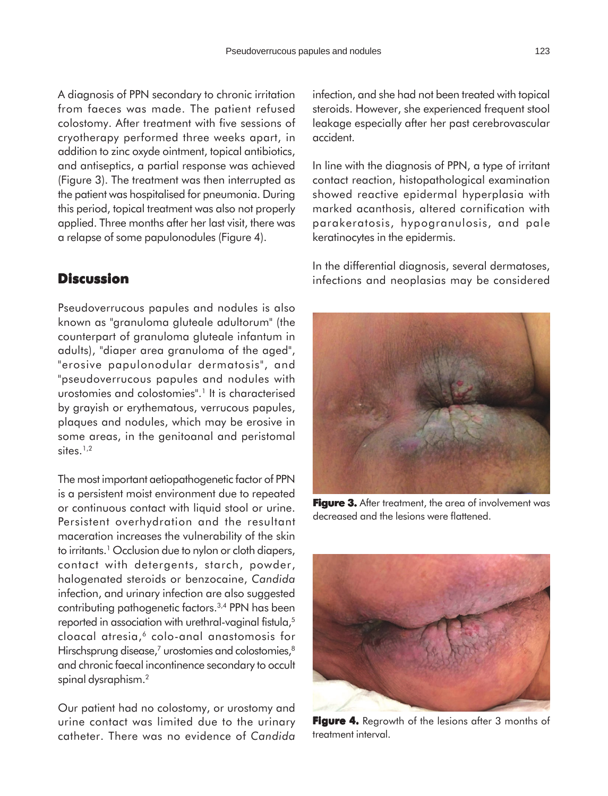A diagnosis of PPN secondary to chronic irritation from faeces was made. The patient refused colostomy. After treatment with five sessions of cryotherapy performed three weeks apart, in addition to zinc oxyde ointment, topical antibiotics, and antiseptics, a partial response was achieved (Figure 3). The treatment was then interrupted as the patient was hospitalised for pneumonia. During this period, topical treatment was also not properly applied. Three months after her last visit, there was a relapse of some papulonodules (Figure 4).

### **Discussion**

Pseudoverrucous papules and nodules is also known as "granuloma gluteale adultorum" (the counterpart of granuloma gluteale infantum in adults), "diaper area granuloma of the aged", "erosive papulonodular dermatosis", and "pseudoverrucous papules and nodules with urostomies and colostomies".<sup>1</sup> It is characterised by grayish or erythematous, verrucous papules, plaques and nodules, which may be erosive in some areas, in the genitoanal and peristomal sites. $1,2$ 

The most important aetiopathogenetic factor of PPN is a persistent moist environment due to repeated or continuous contact with liquid stool or urine. Persistent overhydration and the resultant maceration increases the vulnerability of the skin to irritants.<sup>1</sup> Occlusion due to nylon or cloth diapers, contact with detergents, starch, powder, halogenated steroids or benzocaine, *Candida* infection, and urinary infection are also suggested contributing pathogenetic factors.3,4 PPN has been reported in association with urethral-vaginal fistula,<sup>5</sup> cloacal atresia,<sup>6</sup> colo-anal anastomosis for Hirschsprung disease, $^7$  urostomies and colostomies, $^8$ and chronic faecal incontinence secondary to occult spinal dysraphism.<sup>2</sup>

Our patient had no colostomy, or urostomy and urine contact was limited due to the urinary catheter. There was no evidence of *Candida* infection, and she had not been treated with topical steroids. However, she experienced frequent stool leakage especially after her past cerebrovascular accident.

In line with the diagnosis of PPN, a type of irritant contact reaction, histopathological examination showed reactive epidermal hyperplasia with marked acanthosis, altered cornification with parakeratosis, hypogranulosis, and pale keratinocytes in the epidermis.

In the differential diagnosis, several dermatoses, infections and neoplasias may be considered



**Figure 3.** After treatment, the area of involvement was decreased and the lesions were flattened.



**Figure 4.** Regrowth of the lesions after 3 months of treatment interval.